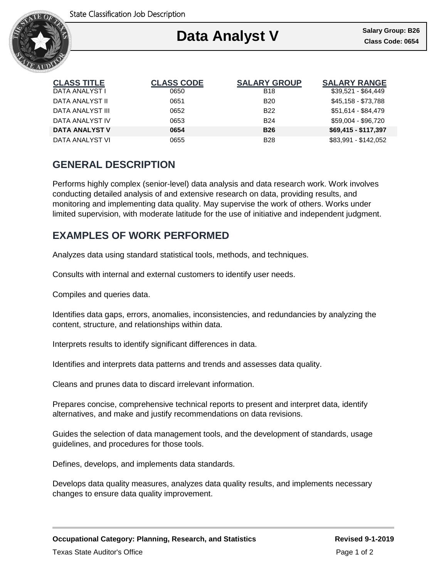

### Ι **Data Analyst V Class Code: 0654**

| <b>CLASS TITLE</b> | <b>CLASS CODE</b> | <b>SALARY GROUP</b> | <b>SALARY RANGE</b>  |
|--------------------|-------------------|---------------------|----------------------|
| DATA ANALYST I     | 0650              | <b>B18</b>          | $$39,521 - $64,449$  |
| DATA ANALYST II    | 0651              | B <sub>20</sub>     | \$45,158 - \$73,788  |
| DATA ANALYST III   | 0652              | B <sub>22</sub>     | \$51,614 - \$84,479  |
| DATA ANALYST IV    | 0653              | <b>B24</b>          | \$59,004 - \$96,720  |
| DATA ANALYST V     | 0654              | <b>B26</b>          | \$69,415 - \$117,397 |
| DATA ANALYST VI    | 0655              | <b>B28</b>          | \$83.991 - \$142.052 |

# **GENERAL DESCRIPTION**

Performs highly complex (senior-level) data analysis and data research work. Work involves conducting detailed analysis of and extensive research on data, providing results, and monitoring and implementing data quality. May supervise the work of others. Works under limited supervision, with moderate latitude for the use of initiative and independent judgment.

## **EXAMPLES OF WORK PERFORMED**

Analyzes data using standard statistical tools, methods, and techniques.

Consults with internal and external customers to identify user needs.

Compiles and queries data.

Identifies data gaps, errors, anomalies, inconsistencies, and redundancies by analyzing the content, structure, and relationships within data.

Interprets results to identify significant differences in data.

Identifies and interprets data patterns and trends and assesses data quality.

Cleans and prunes data to discard irrelevant information.

Prepares concise, comprehensive technical reports to present and interpret data, identify alternatives, and make and justify recommendations on data revisions.

Guides the selection of data management tools, and the development of standards, usage guidelines, and procedures for those tools.

Defines, develops, and implements data standards.

Develops data quality measures, analyzes data quality results, and implements necessary changes to ensure data quality improvement.